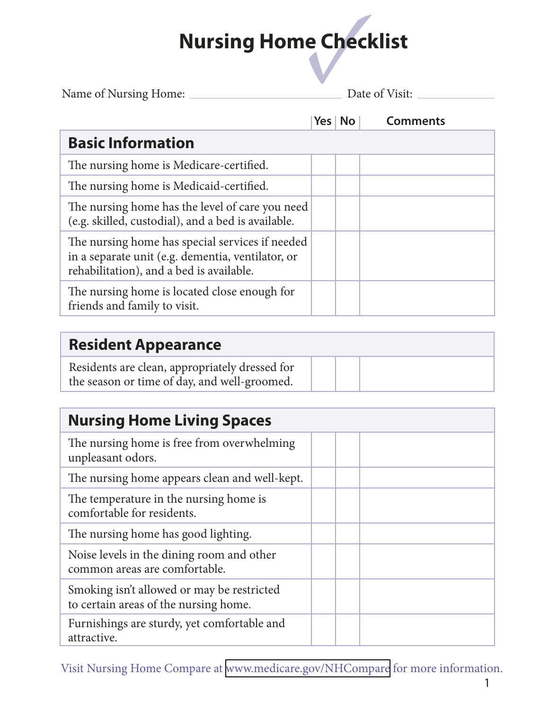| Name of Nursing Home:                                                                                                                            |  | Date of Visit: |                 |  |
|--------------------------------------------------------------------------------------------------------------------------------------------------|--|----------------|-----------------|--|
|                                                                                                                                                  |  | Yes   No       | <b>Comments</b> |  |
| <b>Basic Information</b>                                                                                                                         |  |                |                 |  |
| The nursing home is Medicare-certified.                                                                                                          |  |                |                 |  |
| The nursing home is Medicaid-certified.                                                                                                          |  |                |                 |  |
| The nursing home has the level of care you need<br>(e.g. skilled, custodial), and a bed is available.                                            |  |                |                 |  |
| The nursing home has special services if needed<br>in a separate unit (e.g. dementia, ventilator, or<br>rehabilitation), and a bed is available. |  |                |                 |  |
| The nursing home is located close enough for<br>friends and family to visit.                                                                     |  |                |                 |  |

#### **Resident Appearance**

| Residents are clean, appropriately dressed for |  |  |
|------------------------------------------------|--|--|
| the season or time of day, and well-groomed.   |  |  |

| <b>Nursing Home Living Spaces</b>                                                   |  |  |
|-------------------------------------------------------------------------------------|--|--|
| The nursing home is free from overwhelming<br>unpleasant odors.                     |  |  |
| The nursing home appears clean and well-kept.                                       |  |  |
| The temperature in the nursing home is<br>comfortable for residents.                |  |  |
| The nursing home has good lighting.                                                 |  |  |
| Noise levels in the dining room and other<br>common areas are comfortable.          |  |  |
| Smoking isn't allowed or may be restricted<br>to certain areas of the nursing home. |  |  |
| Furnishings are sturdy, yet comfortable and<br>attractive.                          |  |  |

Visit Nursing Home Compare at <www.medicare.gov/NHCompare> for more information.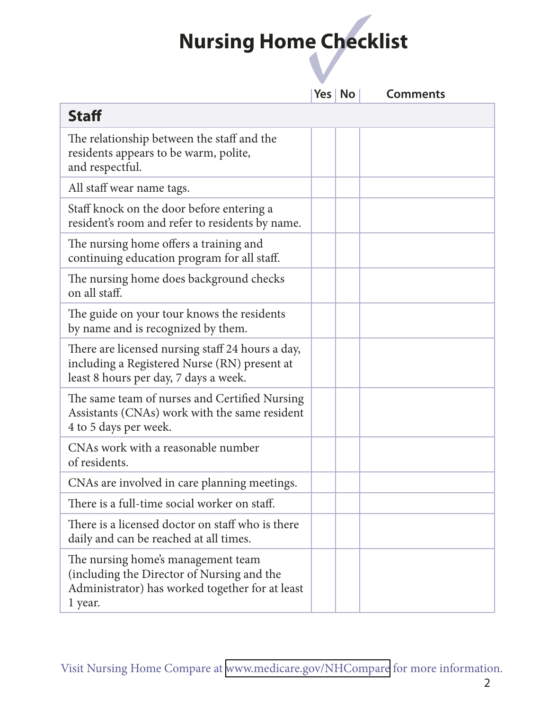|                                                                                                                                                | Yes   No | <b>Comments</b> |
|------------------------------------------------------------------------------------------------------------------------------------------------|----------|-----------------|
| <b>Staff</b>                                                                                                                                   |          |                 |
| The relationship between the staff and the<br>residents appears to be warm, polite,<br>and respectful.                                         |          |                 |
| All staff wear name tags.                                                                                                                      |          |                 |
| Staff knock on the door before entering a<br>resident's room and refer to residents by name.                                                   |          |                 |
| The nursing home offers a training and<br>continuing education program for all staff.                                                          |          |                 |
| The nursing home does background checks<br>on all staff.                                                                                       |          |                 |
| The guide on your tour knows the residents<br>by name and is recognized by them.                                                               |          |                 |
| There are licensed nursing staff 24 hours a day,<br>including a Registered Nurse (RN) present at<br>least 8 hours per day, 7 days a week.      |          |                 |
| The same team of nurses and Certified Nursing<br>Assistants (CNAs) work with the same resident<br>4 to 5 days per week.                        |          |                 |
| CNAs work with a reasonable number<br>of residents.                                                                                            |          |                 |
| CNAs are involved in care planning meetings.                                                                                                   |          |                 |
| There is a full-time social worker on staff.                                                                                                   |          |                 |
| There is a licensed doctor on staff who is there<br>daily and can be reached at all times.                                                     |          |                 |
| The nursing home's management team<br>(including the Director of Nursing and the<br>Administrator) has worked together for at least<br>1 year. |          |                 |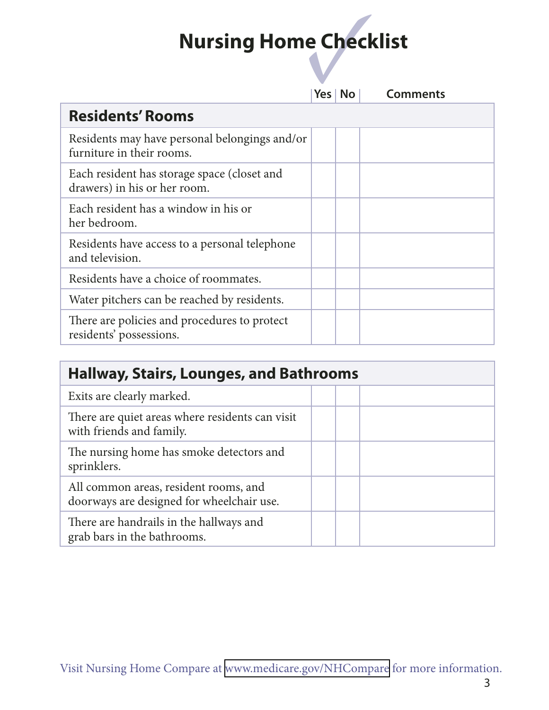|                                                                             |  | Yes   No | <b>Comments</b> |  |
|-----------------------------------------------------------------------------|--|----------|-----------------|--|
| <b>Residents' Rooms</b>                                                     |  |          |                 |  |
| Residents may have personal belongings and/or<br>furniture in their rooms.  |  |          |                 |  |
| Each resident has storage space (closet and<br>drawers) in his or her room. |  |          |                 |  |
| Each resident has a window in his or<br>her bedroom.                        |  |          |                 |  |
| Residents have access to a personal telephone<br>and television.            |  |          |                 |  |
| Residents have a choice of roommates.                                       |  |          |                 |  |
| Water pitchers can be reached by residents.                                 |  |          |                 |  |
| There are policies and procedures to protect<br>residents' possessions.     |  |          |                 |  |

| <b>Hallway, Stairs, Lounges, and Bathrooms</b>                                     |  |  |  |
|------------------------------------------------------------------------------------|--|--|--|
| Exits are clearly marked.                                                          |  |  |  |
| There are quiet areas where residents can visit<br>with friends and family.        |  |  |  |
| The nursing home has smoke detectors and<br>sprinklers.                            |  |  |  |
| All common areas, resident rooms, and<br>doorways are designed for wheelchair use. |  |  |  |
| There are handrails in the hallways and<br>grab bars in the bathrooms.             |  |  |  |